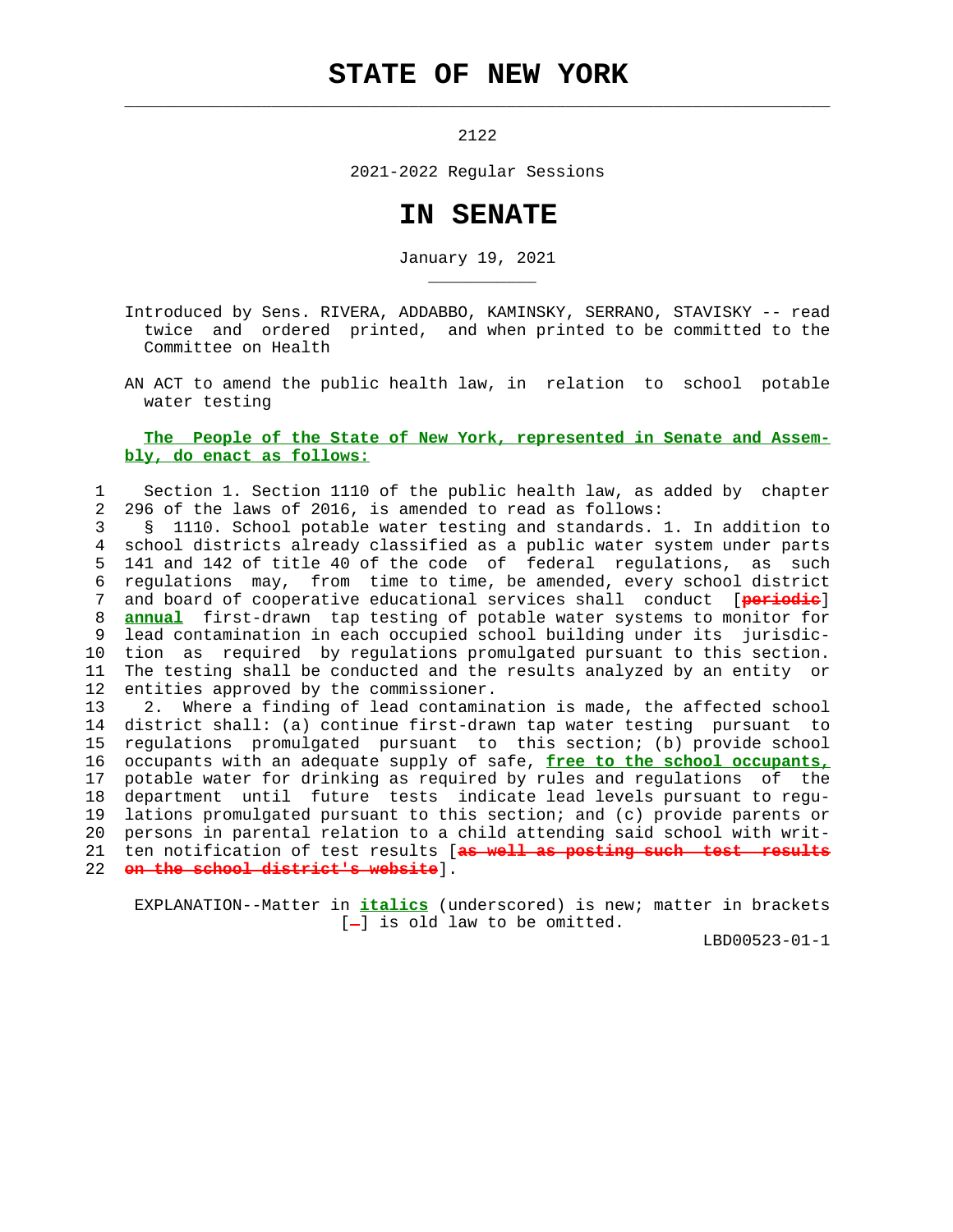## **STATE OF NEW YORK**

 $\mathcal{L}_\text{max} = \frac{1}{2} \sum_{i=1}^{n} \frac{1}{2} \sum_{i=1}^{n} \frac{1}{2} \sum_{i=1}^{n} \frac{1}{2} \sum_{i=1}^{n} \frac{1}{2} \sum_{i=1}^{n} \frac{1}{2} \sum_{i=1}^{n} \frac{1}{2} \sum_{i=1}^{n} \frac{1}{2} \sum_{i=1}^{n} \frac{1}{2} \sum_{i=1}^{n} \frac{1}{2} \sum_{i=1}^{n} \frac{1}{2} \sum_{i=1}^{n} \frac{1}{2} \sum_{i=1}^{n} \frac{1$ 

\_\_\_\_\_\_\_\_\_\_\_

2122

2021-2022 Regular Sessions

## **IN SENATE**

January 19, 2021

 Introduced by Sens. RIVERA, ADDABBO, KAMINSKY, SERRANO, STAVISKY -- read twice and ordered printed, and when printed to be committed to the Committee on Health

 AN ACT to amend the public health law, in relation to school potable water testing

## **The People of the State of New York, represented in Senate and Assem bly, do enact as follows:**

## 1 Section 1. Section 1110 of the public health law, as added by chapter 2 296 of the laws of 2016, is amended to read as follows:

 3 § 1110. School potable water testing and standards. 1. In addition to 4 school districts already classified as a public water system under parts 5 141 and 142 of title 40 of the code of federal regulations, as such 6 regulations may, from time to time, be amended, every school district<br>7 and board of cooperative educational services shall conduct (periodie) 7 and board of cooperative educational services shall conduct [**periodic**] 8 **annual** first-drawn tap testing of potable water systems to monitor for 9 lead contamination in each occupied school building under its jurisdic- 10 tion as required by regulations promulgated pursuant to this section. 11 The testing shall be conducted and the results analyzed by an entity or 12 entities approved by the commissioner.

 13 2. Where a finding of lead contamination is made, the affected school 14 district shall: (a) continue first-drawn tap water testing pursuant to 15 regulations promulgated pursuant to this section; (b) provide school 16 occupants with an adequate supply of safe, **free to the school occupants,** 17 potable water for drinking as required by rules and regulations of the 18 department until future tests indicate lead levels pursuant to regu- 19 lations promulgated pursuant to this section; and (c) provide parents or 20 persons in parental relation to a child attending said school with writ- 21 ten notification of test results [**as well as posting such test results** 22 **on the school district's website**].

 EXPLANATION--Matter in **italics** (underscored) is new; matter in brackets  $[-]$  is old law to be omitted.

LBD00523-01-1